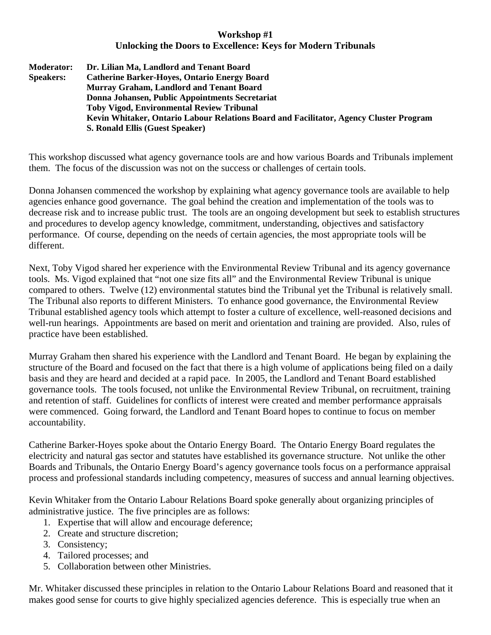## **Workshop #1 Unlocking the Doors to Excellence: Keys for Modern Tribunals**

| <b>Moderator:</b> | Dr. Lilian Ma, Landlord and Tenant Board                                               |
|-------------------|----------------------------------------------------------------------------------------|
| <b>Speakers:</b>  | <b>Catherine Barker-Hoyes, Ontario Energy Board</b>                                    |
|                   | <b>Murray Graham, Landlord and Tenant Board</b>                                        |
|                   | Donna Johansen, Public Appointments Secretariat                                        |
|                   | <b>Toby Vigod, Environmental Review Tribunal</b>                                       |
|                   | Kevin Whitaker, Ontario Labour Relations Board and Facilitator, Agency Cluster Program |
|                   | S. Ronald Ellis (Guest Speaker)                                                        |

This workshop discussed what agency governance tools are and how various Boards and Tribunals implement them. The focus of the discussion was not on the success or challenges of certain tools.

Donna Johansen commenced the workshop by explaining what agency governance tools are available to help agencies enhance good governance. The goal behind the creation and implementation of the tools was to decrease risk and to increase public trust. The tools are an ongoing development but seek to establish structures and procedures to develop agency knowledge, commitment, understanding, objectives and satisfactory performance. Of course, depending on the needs of certain agencies, the most appropriate tools will be different.

Next, Toby Vigod shared her experience with the Environmental Review Tribunal and its agency governance tools. Ms. Vigod explained that "not one size fits all" and the Environmental Review Tribunal is unique compared to others. Twelve (12) environmental statutes bind the Tribunal yet the Tribunal is relatively small. The Tribunal also reports to different Ministers. To enhance good governance, the Environmental Review Tribunal established agency tools which attempt to foster a culture of excellence, well-reasoned decisions and well-run hearings. Appointments are based on merit and orientation and training are provided. Also, rules of practice have been established.

Murray Graham then shared his experience with the Landlord and Tenant Board. He began by explaining the structure of the Board and focused on the fact that there is a high volume of applications being filed on a daily basis and they are heard and decided at a rapid pace. In 2005, the Landlord and Tenant Board established governance tools. The tools focused, not unlike the Environmental Review Tribunal, on recruitment, training and retention of staff. Guidelines for conflicts of interest were created and member performance appraisals were commenced. Going forward, the Landlord and Tenant Board hopes to continue to focus on member accountability.

Catherine Barker-Hoyes spoke about the Ontario Energy Board. The Ontario Energy Board regulates the electricity and natural gas sector and statutes have established its governance structure. Not unlike the other Boards and Tribunals, the Ontario Energy Board's agency governance tools focus on a performance appraisal process and professional standards including competency, measures of success and annual learning objectives.

Kevin Whitaker from the Ontario Labour Relations Board spoke generally about organizing principles of administrative justice. The five principles are as follows:

- 1. Expertise that will allow and encourage deference;
- 2. Create and structure discretion;
- 3. Consistency;
- 4. Tailored processes; and
- 5. Collaboration between other Ministries.

Mr. Whitaker discussed these principles in relation to the Ontario Labour Relations Board and reasoned that it makes good sense for courts to give highly specialized agencies deference. This is especially true when an